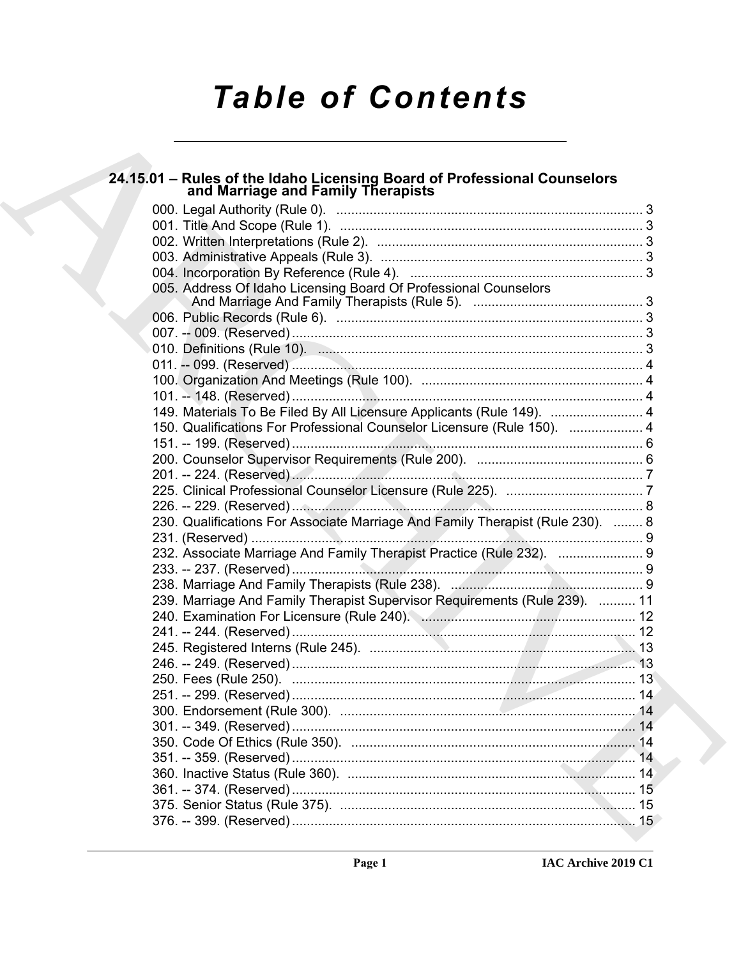# **Table of Contents**

# 24.15.01 - Rules of the Idaho Licensing Board of Professional Counselors<br>and Marriage and Family Therapists

| 005. Address Of Idaho Licensing Board Of Professional Counselors               |  |
|--------------------------------------------------------------------------------|--|
|                                                                                |  |
|                                                                                |  |
|                                                                                |  |
|                                                                                |  |
|                                                                                |  |
|                                                                                |  |
|                                                                                |  |
| 149. Materials To Be Filed By All Licensure Applicants (Rule 149).  4          |  |
| 150. Qualifications For Professional Counselor Licensure (Rule 150).  4        |  |
|                                                                                |  |
|                                                                                |  |
|                                                                                |  |
|                                                                                |  |
|                                                                                |  |
| 230. Qualifications For Associate Marriage And Family Therapist (Rule 230).  8 |  |
|                                                                                |  |
| 232. Associate Marriage And Family Therapist Practice (Rule 232).  9           |  |
|                                                                                |  |
|                                                                                |  |
| 239. Marriage And Family Therapist Supervisor Requirements (Rule 239).  11     |  |
|                                                                                |  |
|                                                                                |  |
|                                                                                |  |
|                                                                                |  |
|                                                                                |  |
|                                                                                |  |
|                                                                                |  |
|                                                                                |  |
|                                                                                |  |
|                                                                                |  |
|                                                                                |  |
|                                                                                |  |
|                                                                                |  |
|                                                                                |  |
|                                                                                |  |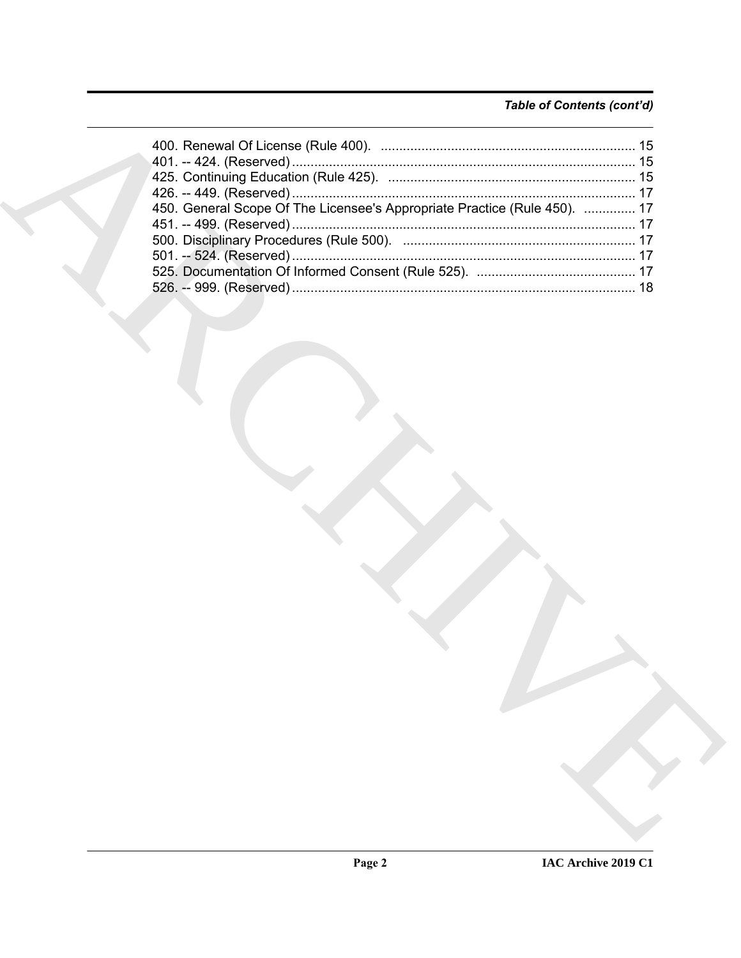# Table of Contents (cont'd)

| 450. General Scope Of The Licensee's Appropriate Practice (Rule 450).  17 |  |
|---------------------------------------------------------------------------|--|
|                                                                           |  |
|                                                                           |  |
|                                                                           |  |
|                                                                           |  |
|                                                                           |  |
|                                                                           |  |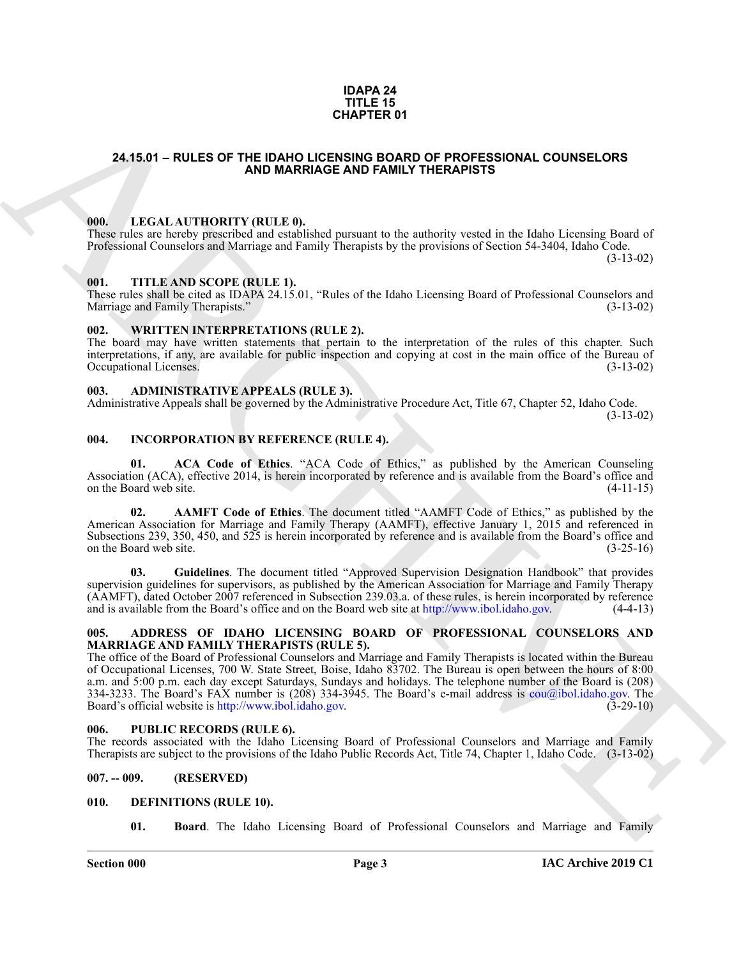#### **IDAPA 24 TITLE 15 CHAPTER 01**

#### <span id="page-2-0"></span>**24.15.01 – RULES OF THE IDAHO LICENSING BOARD OF PROFESSIONAL COUNSELORS AND MARRIAGE AND FAMILY THERAPISTS**

#### <span id="page-2-15"></span><span id="page-2-1"></span>**000. LEGAL AUTHORITY (RULE 0).**

These rules are hereby prescribed and established pursuant to the authority vested in the Idaho Licensing Board of Professional Counselors and Marriage and Family Therapists by the provisions of Section 54-3404, Idaho Code. (3-13-02)

#### <span id="page-2-17"></span><span id="page-2-2"></span>**001. TITLE AND SCOPE (RULE 1).**

These rules shall be cited as IDAPA 24.15.01, "Rules of the Idaho Licensing Board of Professional Counselors and Marriage and Family Therapists." (3-13-02) Marriage and Family Therapists."

#### <span id="page-2-18"></span><span id="page-2-3"></span>**002. WRITTEN INTERPRETATIONS (RULE 2).**

The board may have written statements that pertain to the interpretation of the rules of this chapter. Such interpretations, if any, are available for public inspection and copying at cost in the main office of the Bureau of Occupational Licenses. (3-13-02)

#### <span id="page-2-11"></span><span id="page-2-4"></span>**003. ADMINISTRATIVE APPEALS (RULE 3).**

Administrative Appeals shall be governed by the Administrative Procedure Act, Title 67, Chapter 52, Idaho Code.

(3-13-02)

### <span id="page-2-14"></span><span id="page-2-5"></span>**004. INCORPORATION BY REFERENCE (RULE 4).**

**01. ACA Code of Ethics**. "ACA Code of Ethics," as published by the American Counseling Association (ACA), effective 2014, is herein incorporated by reference and is available from the Board's office and on the Board web site. (4-11-15)

**02. AAMFT Code of Ethics**. The document titled "AAMFT Code of Ethics," as published by the American Association for Marriage and Family Therapy (AAMFT), effective January 1, 2015 and referenced in Subsections 239, 350, 450, and 525 is herein incorporated by reference and is available from the Board's office and on the Board web site. (3-25-16)

**03. Guidelines**. The document titled "Approved Supervision Designation Handbook" that provides supervision guidelines for supervisors, as published by the American Association for Marriage and Family Therapy (AAMFT), dated October 2007 referenced in Subsection 239.03.a. of these rules, is herein incorporated by reference and is available from the Board's office and on the Board web site at http://www.ibol.idaho.gov. (4-4-13)

#### <span id="page-2-10"></span><span id="page-2-6"></span>**005. ADDRESS OF IDAHO LICENSING BOARD OF PROFESSIONAL COUNSELORS AND MARRIAGE AND FAMILY THERAPISTS (RULE 5).**

**CHAPT[E](mailto:cou@ibol.idaho.gov)R OF**<br>
24.15.01 – RULES OF THE DAHO MARRIAGE AND FAMILY DIRECTION OF PROFESSIONAL COUNSELORS<br>
100. LECAL AITHORITY (RULES 0).<br>
100. LECAL AITHORITY (RULES 0).<br>
100. LECAL AITHORITY (RULES 0).<br>
100. LECAL AITHORITY The office of the Board of Professional Counselors and Marriage and Family Therapists is located within the Bureau of Occupational Licenses, 700 W. State Street, Boise, Idaho 83702. The Bureau is open between the hours of 8:00 a.m. and 5:00 p.m. each day except Saturdays, Sundays and holidays. The telephone number of the Board is (208) 334-3233. The Board's FAX number is  $(208)$  334-3945. The Board's e-mail address is cou $\omega$ ibol.idaho.gov. The Board's official website is http://www.ibol.idaho.gov. (3-29-10) Board's official website is http://www.ibol.idaho.gov.

#### <span id="page-2-16"></span><span id="page-2-7"></span>**006. PUBLIC RECORDS (RULE 6).**

The records associated with the Idaho Licensing Board of Professional Counselors and Marriage and Family Therapists are subject to the provisions of the Idaho Public Records Act, Title 74, Chapter 1, Idaho Code. (3-13-02)

### <span id="page-2-8"></span>**007. -- 009. (RESERVED)**

#### <span id="page-2-9"></span>**010. DEFINITIONS (RULE 10).**

<span id="page-2-13"></span><span id="page-2-12"></span>**01. Board**. The Idaho Licensing Board of Professional Counselors and Marriage and Family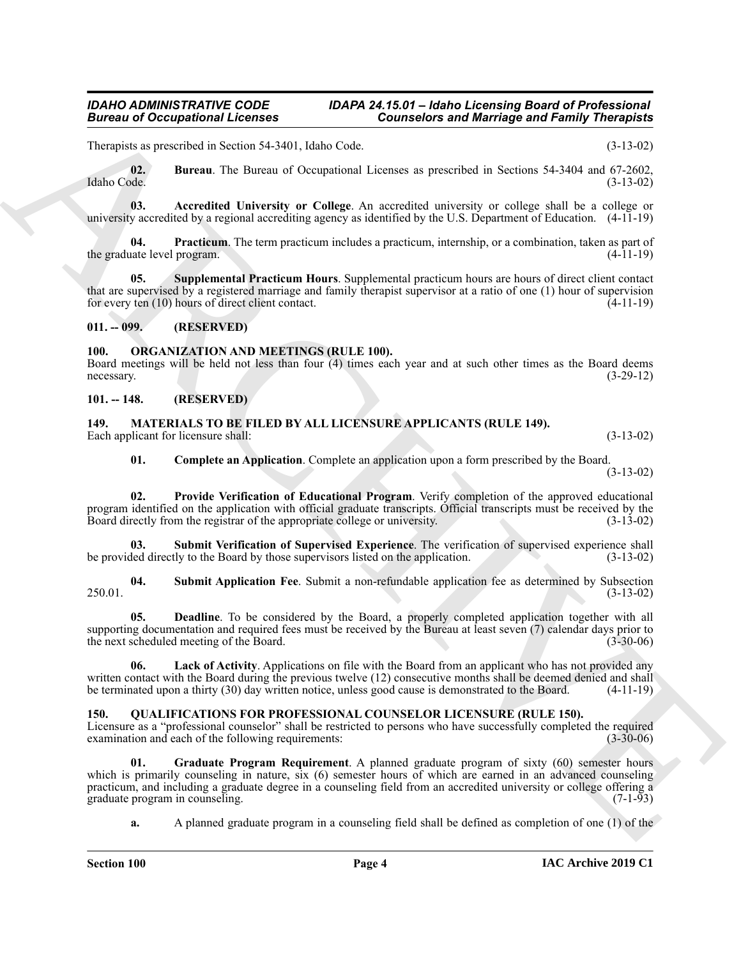Therapists as prescribed in Section 54-3401, Idaho Code. (3-13-02)

<span id="page-3-6"></span>**02. Bureau**. The Bureau of Occupational Licenses as prescribed in Sections 54-3404 and 67-2602, Idaho Code. (3-13-02)

<span id="page-3-5"></span>**03. Accredited University or College**. An accredited university or college shall be a college or university accredited by a regional accrediting agency as identified by the U.S. Department of Education. (4-11-19)

<span id="page-3-7"></span>**04. Practicum**. The term practicum includes a practicum, internship, or a combination, taken as part of the graduate level program. (4-11-19)

<span id="page-3-8"></span>**05. Supplemental Practicum Hours**. Supplemental practicum hours are hours of direct client contact that are supervised by a registered marriage and family therapist supervisor at a ratio of one (1) hour of supervision for every ten (10) hours of direct client contact. (4-11-19)

#### <span id="page-3-0"></span>**011. -- 099. (RESERVED)**

### <span id="page-3-16"></span><span id="page-3-1"></span>**100. ORGANIZATION AND MEETINGS (RULE 100).**

Board meetings will be held not less than four (4) times each year and at such other times as the Board deems necessary. (3-29-12)

<span id="page-3-9"></span><span id="page-3-2"></span>**101. -- 148. (RESERVED)**

<span id="page-3-3"></span>**149. MATERIALS TO BE FILED BY ALL LICENSURE APPLICANTS (RULE 149).** Each applicant for licensure shall: (3-13-02) (3-13-02)

<span id="page-3-15"></span><span id="page-3-13"></span><span id="page-3-10"></span>**01. Complete an Application**. Complete an application upon a form prescribed by the Board. (3-13-02)

**02. Provide Verification of Educational Program**. Verify completion of the approved educational program identified on the application with official graduate transcripts. Official transcripts must be received by the Board directly from the registrar of the appropriate college or university. (3-13-02) Board directly from the registrar of the appropriate college or university.

**03.** Submit Verification of Supervised Experience. The verification of supervised experience shall led directly to the Board by those supervisors listed on the application. (3-13-02) be provided directly to the Board by those supervisors listed on the application.

<span id="page-3-14"></span>**04. Submit Application Fee**. Submit a non-refundable application fee as determined by Subsection 250.01. (3-13-02)

<span id="page-3-11"></span>**05. Deadline**. To be considered by the Board, a properly completed application together with all supporting documentation and required fees must be received by the Bureau at least seven (7) calendar days prior to the next scheduled meeting of the Board. (3-30-06)

<span id="page-3-12"></span>**06. Lack of Activity**. Applications on file with the Board from an applicant who has not provided any written contact with the Board during the previous twelve (12) consecutive months shall be deemed denied and shall<br>be terminated upon a thirty (30) day written notice, unless good cause is demonstrated to the Board. (4-11be terminated upon a thirty (30) day written notice, unless good cause is demonstrated to the Board.

# <span id="page-3-17"></span><span id="page-3-4"></span>**150. QUALIFICATIONS FOR PROFESSIONAL COUNSELOR LICENSURE (RULE 150).**

Licensure as a "professional counselor" shall be restricted to persons who have successfully completed the required examination and each of the following requirements: examination and each of the following requirements:

**Example 5 and 2** consistened **Example 10** consistent with Marchiga field Family Theoretical<br>
Lineary and South 1980 and 1980 and 2 consistent in the state of the state of the state of the state of the state of the state **Graduate Program Requirement**. A planned graduate program of sixty (60) semester hours which is primarily counseling in nature, six (6) semester hours of which are earned in an advanced counseling practicum, and including a graduate degree in a counseling field from an accredited university or college offering a graduate program in counseling.

<span id="page-3-18"></span>**a.** A planned graduate program in a counseling field shall be defined as completion of one (1) of the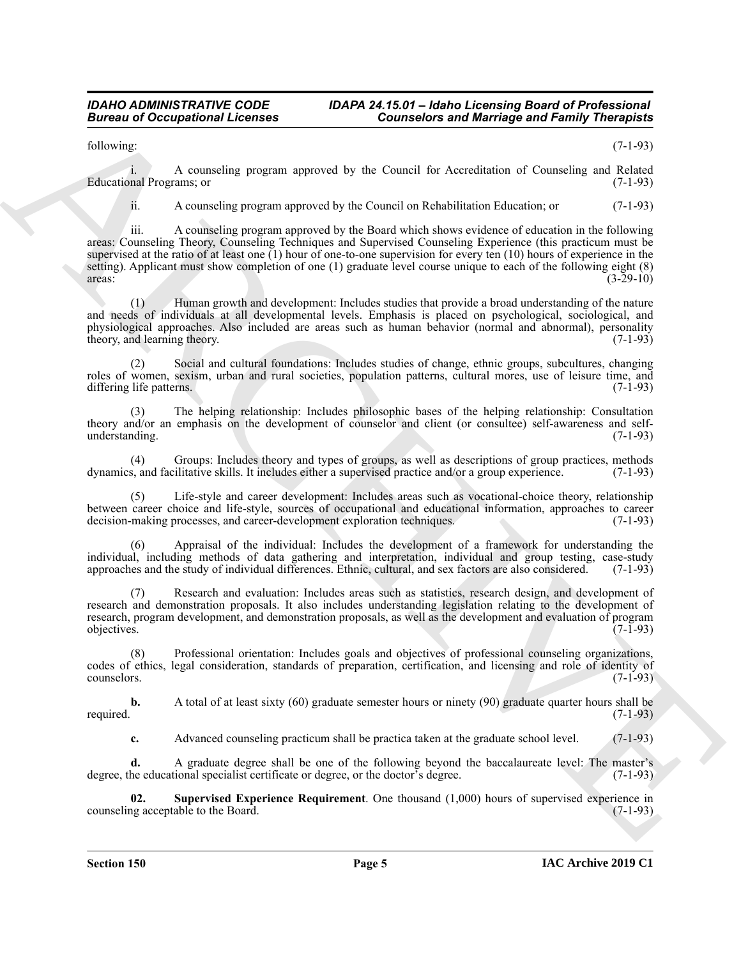#### *IDAHO ADMINISTRATIVE CODE IDAPA 24.15.01 – Idaho Licensing Board of Professional*  **Counselors and Marriage and Family Therapists**

following: (7-1-93)

i. A counseling program approved by the Council for Accreditation of Counseling and Related Educational Programs; or

ii. A counseling program approved by the Council on Rehabilitation Education; or (7-1-93)

**Extreme to Conceptional Licenses**<br>
License in Conceptional Licenses<br>
License in According progress approved by the Conception According of Resulting and Resulting and Resulting (1-1-3)<br>
License in According progress appr iii. A counseling program approved by the Board which shows evidence of education in the following areas: Counseling Theory, Counseling Techniques and Supervised Counseling Experience (this practicum must be supervised at the ratio of at least one  $(1)$  hour of one-to-one supervision for every ten  $(10)$  hours of experience in the setting). Applicant must show completion of one (1) graduate level course unique to each of the following eight (8) areas: (3-29-10)  $\frac{1}{3-29-10}$ 

(1) Human growth and development: Includes studies that provide a broad understanding of the nature and needs of individuals at all developmental levels. Emphasis is placed on psychological, sociological, and physiological approaches. Also included are areas such as human behavior (normal and abnormal), personality theory, and learning theory. (7-1-93) theory, and learning theory.

(2) Social and cultural foundations: Includes studies of change, ethnic groups, subcultures, changing roles of women, sexism, urban and rural societies, population patterns, cultural mores, use of leisure time, and differing life patterns. (7-1-93)

(3) The helping relationship: Includes philosophic bases of the helping relationship: Consultation theory and/or an emphasis on the development of counselor and client (or consultee) self-awareness and selfunderstanding. (7-1-93)

(4) Groups: Includes theory and types of groups, as well as descriptions of group practices, methods dynamics, and facilitative skills. It includes either a supervised practice and/or a group experience. (7-1-93)

Life-style and career development: Includes areas such as vocational-choice theory, relationship between career choice and life-style, sources of occupational and educational information, approaches to career decision-making processes, and career-development exploration techniques. (7-1-93)

(6) Appraisal of the individual: Includes the development of a framework for understanding the individual, including methods of data gathering and interpretation, individual and group testing, case-study approaches and the study of individual differences. Ethnic, cultural, and sex factors are also considered. (7-1-93)

(7) Research and evaluation: Includes areas such as statistics, research design, and development of research and demonstration proposals. It also includes understanding legislation relating to the development of research, program development, and demonstration proposals, as well as the development and evaluation of program objectives. (7-1-93)

(8) Professional orientation: Includes goals and objectives of professional counseling organizations, codes of ethics, legal consideration, standards of preparation, certification, and licensing and role of identity of counselors. (7-1-93)

**b.** A total of at least sixty (60) graduate semester hours or ninety (90) graduate quarter hours shall be required. (7-1-93)

<span id="page-4-0"></span>**c.** Advanced counseling practicum shall be practica taken at the graduate school level. (7-1-93)

**d.** A graduate degree shall be one of the following beyond the baccalaureate level: The master's degree, the educational specialist certificate or degree, or the doctor's degree. (7-1-93)

**02.** Supervised Experience Requirement. One thousand (1,000) hours of supervised experience in the Board. (7-1-93) counseling acceptable to the Board.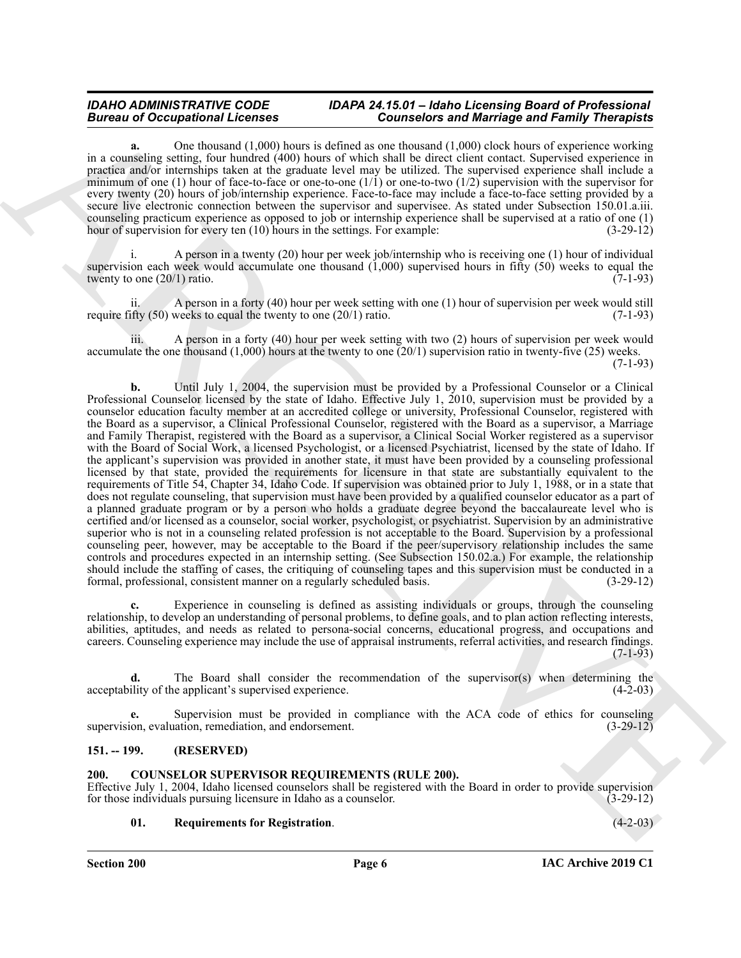**a.** One thousand (1,000) hours is defined as one thousand (1,000) clock hours of experience working in a counseling setting, four hundred (400) hours of which shall be direct client contact. Supervised experience in practica and/or internships taken at the graduate level may be utilized. The supervised experience shall include a minimum of one (1) hour of face-to-face or one-to-one  $(1/1)$  or one-to-two  $(1/2)$  supervision with the supervisor for every twenty (20) hours of job/internship experience. Face-to-face may include a face-to-face setting provided by a secure live electronic connection between the supervisor and supervisee. As stated under Subsection 150.01.a.iii. counseling practicum experience as opposed to job or internship experience shall be supervised at a ratio of one (1) hour of supervision for every ten (10) hours in the settings. For example: (3-29-12)

A person in a twenty (20) hour per week job/internship who is receiving one (1) hour of individual supervision each week would accumulate one thousand (1,000) supervised hours in fifty (50) weeks to equal the twenty to one  $(20/1)$  ratio.  $(7-1-93)$ 

A person in a forty (40) hour per week setting with one (1) hour of supervision per week would still require fifty  $(50)$  weeks to equal the twenty to one  $(20/1)$  ratio.  $(7-1-93)$ 

iii. A person in a forty (40) hour per week setting with two (2) hours of supervision per week would accumulate the one thousand  $(1,000)$  hours at the twenty to one  $(20/1)$  supervision ratio in twenty-five  $(25)$  weeks. (7-1-93)

Bureau of Occupation 12. Consider the state of the state of Marchives and the state of the state of the state of the state of the state of the state of the state of the state of the state of the state of the state of the **b.** Until July 1, 2004, the supervision must be provided by a Professional Counselor or a Clinical Professional Counselor licensed by the state of Idaho. Effective July 1, 2010, supervision must be provided by a counselor education faculty member at an accredited college or university, Professional Counselor, registered with the Board as a supervisor, a Clinical Professional Counselor, registered with the Board as a supervisor, a Marriage and Family Therapist, registered with the Board as a supervisor, a Clinical Social Worker registered as a supervisor with the Board of Social Work, a licensed Psychologist, or a licensed Psychiatrist, licensed by the state of Idaho. If the applicant's supervision was provided in another state, it must have been provided by a counseling professional licensed by that state, provided the requirements for licensure in that state are substantially equivalent to the requirements of Title 54, Chapter 34, Idaho Code. If supervision was obtained prior to July 1, 1988, or in a state that does not regulate counseling, that supervision must have been provided by a qualified counselor educator as a part of a planned graduate program or by a person who holds a graduate degree beyond the baccalaureate level who is certified and/or licensed as a counselor, social worker, psychologist, or psychiatrist. Supervision by an administrative superior who is not in a counseling related profession is not acceptable to the Board. Supervision by a professional counseling peer, however, may be acceptable to the Board if the peer/supervisory relationship includes the same controls and procedures expected in an internship setting. (See Subsection 150.02.a.) For example, the relationship should include the staffing of cases, the critiquing of counseling tapes and this supervision must be conducted in a formal, professional, consistent manner on a regularly scheduled basis. (3-29-12)

**c.** Experience in counseling is defined as assisting individuals or groups, through the counseling relationship, to develop an understanding of personal problems, to define goals, and to plan action reflecting interests, abilities, aptitudes, and needs as related to persona-social concerns, educational progress, and occupations and careers. Counseling experience may include the use of appraisal instruments, referral activities, and research findings. (7-1-93)

**d.** The Board shall consider the recommendation of the supervisor(s) when determining the ility of the applicant's supervised experience. (4-2-03) acceptability of the applicant's supervised experience.

**e.** Supervision must be provided in compliance with the ACA code of ethics for counseling supervision, evaluation, remediation, and endorsement. (3-29-12)

# <span id="page-5-0"></span>**151. -- 199. (RESERVED)**

#### <span id="page-5-2"></span><span id="page-5-1"></span>**200. COUNSELOR SUPERVISOR REQUIREMENTS (RULE 200).**

Effective July 1, 2004, Idaho licensed counselors shall be registered with the Board in order to provide supervision for those individuals pursuing licensure in Idaho as a counselor. (3-29-12) for those individuals pursuing licensure in Idaho as a counselor.

### <span id="page-5-3"></span>**01. Requirements for Registration**. (4-2-03)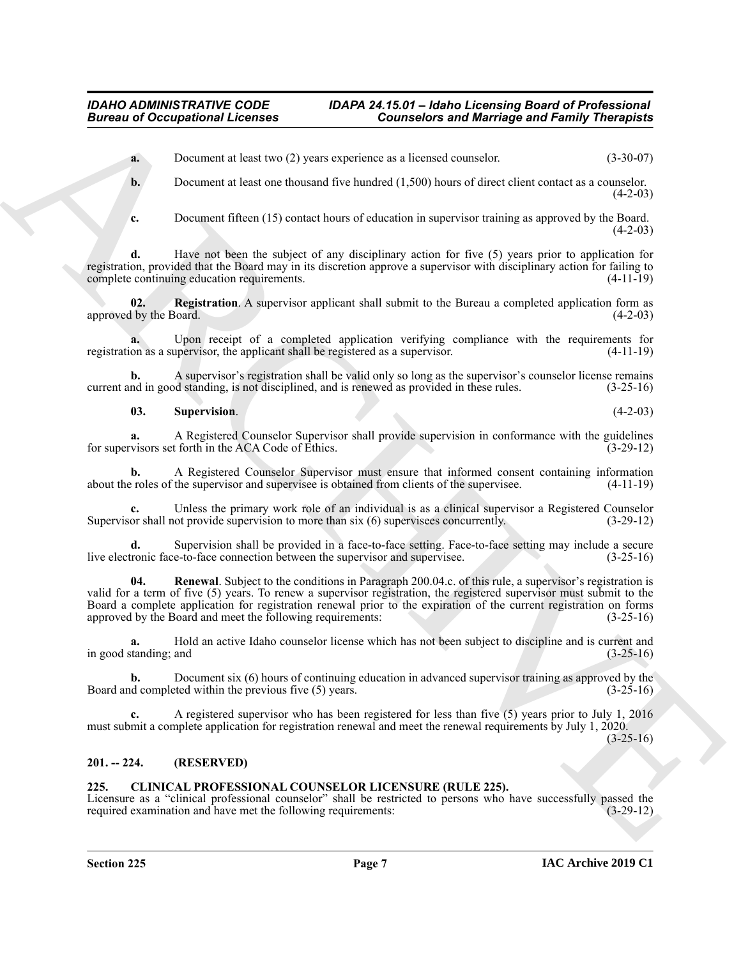**a.** Document at least two (2) years experience as a licensed counselor. (3-30-07)

**b.** Document at least one thousand five hundred (1,500) hours of direct client contact as a counselor.  $(4-2-03)$ 

<span id="page-6-3"></span>**c.** Document fifteen (15) contact hours of education in supervisor training as approved by the Board.  $(4-2-03)$ 

**d.** Have not been the subject of any disciplinary action for five (5) years prior to application for registration, provided that the Board may in its discretion approve a supervisor with disciplinary action for failing to complete continuing education requirements. (4-11-19)

**02. Registration**. A supervisor applicant shall submit to the Bureau a completed application form as approved by the Board. (4-2-03)

**a.** Upon receipt of a completed application verifying compliance with the requirements for registration as a supervisor, the applicant shall be registered as a supervisor. (4-11-19)

**b.** A supervisor's registration shall be valid only so long as the supervisor's counselor license remains current and in good standing, is not disciplined, and is renewed as provided in these rules. (3-25-16)

<span id="page-6-5"></span>**03. Supervision**. (4-2-03)

**a.** A Registered Counselor Supervisor shall provide supervision in conformance with the guidelines visors set forth in the ACA Code of Ethics. (3-29-12) for supervisors set forth in the ACA Code of Ethics.

**b.** A Registered Counselor Supervisor must ensure that informed consent containing information about the roles of the supervisor and supervisee is obtained from clients of the supervisee. (4-11-19)

**c.** Unless the primary work role of an individual is as a clinical supervisor a Registered Counselor Supervisor shall not provide supervision to more than six (6) supervisees concurrently. (3-29-12)

<span id="page-6-4"></span>**d.** Supervision shall be provided in a face-to-face setting. Face-to-face setting may include a secure tronic face-to-face connection between the supervisor and supervisee. (3-25-16) live electronic face-to-face connection between the supervisor and supervisee.

**Bureau of Occupations I. Februaries Consistences and Marriage and Family Theoretical<br>
A December and outline and the space of a state of the space of the space of the space of the space of the space of the space of the s 04. Renewal**. Subject to the conditions in Paragraph 200.04.c. of this rule, a supervisor's registration is valid for a term of five (5) years. To renew a supervisor registration, the registered supervisor must submit to the Board a complete application for registration renewal prior to the expiration of the current registration on forms approved by the Board and meet the following requirements: (3-25-16) approved by the Board and meet the following requirements:

**a.** Hold an active Idaho counselor license which has not been subject to discipline and is current and in good standing; and (3-25-16)

**b.** Document six (6) hours of continuing education in advanced supervisor training as approved by the d completed within the previous five (5) years.  $(3-25-16)$ Board and completed within the previous five  $(5)$  years.

**c.** A registered supervisor who has been registered for less than five (5) years prior to July 1, 2016 must submit a complete application for registration renewal and meet the renewal requirements by July 1, 2020.

 $(3-25-16)$ 

# <span id="page-6-0"></span>**201. -- 224. (RESERVED)**

#### <span id="page-6-2"></span><span id="page-6-1"></span>**225. CLINICAL PROFESSIONAL COUNSELOR LICENSURE (RULE 225).**

Licensure as a "clinical professional counselor" shall be restricted to persons who have successfully passed the required examination and have met the following requirements: (3-29-12) required examination and have met the following requirements: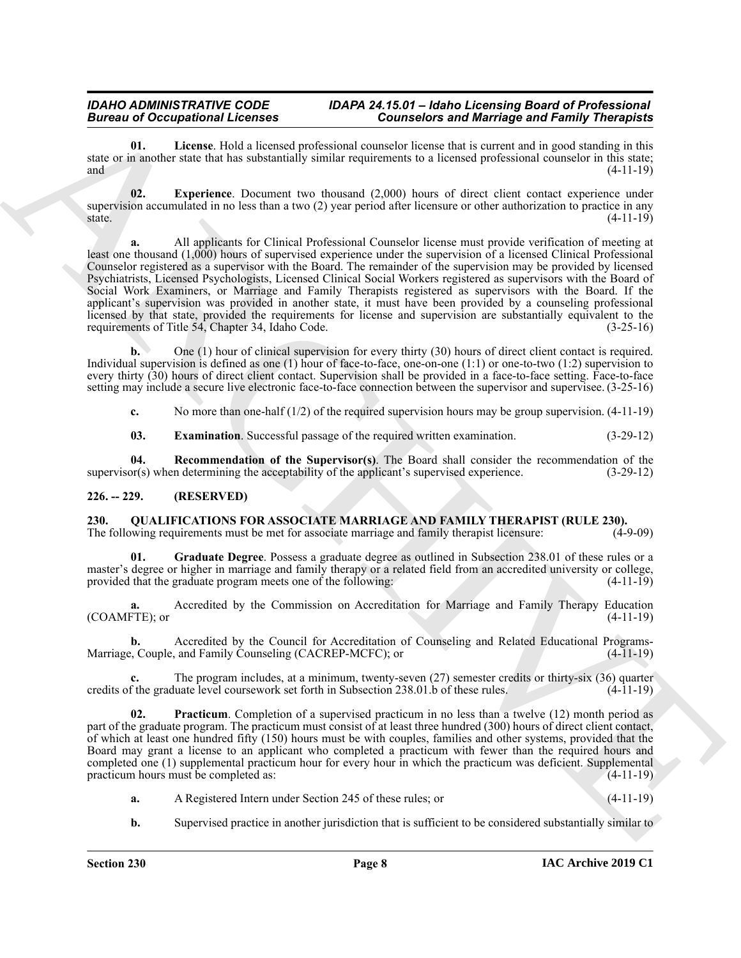<span id="page-7-4"></span>**01. License**. Hold a licensed professional counselor license that is current and in good standing in this state or in another state that has substantially similar requirements to a licensed professional counselor in this state; and  $(4-11-19)$ 

<span id="page-7-3"></span>**02. Experience**. Document two thousand (2,000) hours of direct client contact experience under supervision accumulated in no less than a two  $(2)$  year period after licensure or other authorization to practice in any state.  $s$  state.  $(4-11-19)$ 

Bureau al Coccapabilitation services of Minkey Counterbane and Minkey Fortune and Earlier and School and School and School and School and School and School and School and School and School and School and School and School **a.** All applicants for Clinical Professional Counselor license must provide verification of meeting at least one thousand (1,000) hours of supervised experience under the supervision of a licensed Clinical Professional Counselor registered as a supervisor with the Board. The remainder of the supervision may be provided by licensed Psychiatrists, Licensed Psychologists, Licensed Clinical Social Workers registered as supervisors with the Board of Social Work Examiners, or Marriage and Family Therapists registered as supervisors with the Board. If the applicant's supervision was provided in another state, it must have been provided by a counseling professional licensed by that state, provided the requirements for license and supervision are substantially equivalent to the requirements of Title 54, Chapter 34, Idaho Code. (3-25-16)

**b.** One (1) hour of clinical supervision for every thirty (30) hours of direct client contact is required. Individual supervision is defined as one (1) hour of face-to-face, one-on-one (1:1) or one-to-two (1:2) supervision to every thirty (30) hours of direct client contact. Supervision shall be provided in a face-to-face setting. Face-to-face setting may include a secure live electronic face-to-face connection between the supervisor and supervisee. (3-25-16)

**c.** No more than one-half (1/2) of the required supervision hours may be group supervision. (4-11-19)

<span id="page-7-5"></span><span id="page-7-2"></span>**03. Examination**. Successful passage of the required written examination. (3-29-12)

**04. Recommendation of the Supervisor(s)**. The Board shall consider the recommendation of the or(s) when determining the acceptability of the applicant's supervised experience. (3-29-12) supervisor(s) when determining the acceptability of the applicant's supervised experience.

# <span id="page-7-0"></span>**226. -- 229. (RESERVED)**

<span id="page-7-6"></span><span id="page-7-1"></span>**230.** QUALIFICATIONS FOR ASSOCIATE MARRIAGE AND FAMILY THERAPIST (RULE 230).<br>The following requirements must be met for associate marriage and family therapist licensure: (4-9-09) The following requirements must be met for associate marriage and family therapist licensure:

<span id="page-7-7"></span>**01. Graduate Degree**. Possess a graduate degree as outlined in Subsection 238.01 of these rules or a master's degree or higher in marriage and family therapy or a related field from an accredited university or college, provided that the graduate program meets one of the following: (4-11-19)

**a.** Accredited by the Commission on Accreditation for Marriage and Family Therapy Education (COAMFTE); or

**b.** Accredited by the Council for Accreditation of Counseling and Related Educational Programs-Marriage, Couple, and Family Counseling (CACREP-MCFC); or (4-11-19)

The program includes, at a minimum, twenty-seven (27) semester credits or thirty-six (36) quarter<br>uate level coursework set forth in Subsection 238.01.b of these rules. (4-11-19) credits of the graduate level coursework set forth in Subsection 238.01.b of these rules.

<span id="page-7-8"></span>**Practicum**. Completion of a supervised practicum in no less than a twelve (12) month period as part of the graduate program. The practicum must consist of at least three hundred (300) hours of direct client contact, of which at least one hundred fifty (150) hours must be with couples, families and other systems, provided that the Board may grant a license to an applicant who completed a practicum with fewer than the required hours and completed one (1) supplemental practicum hour for every hour in which the practicum was deficient. Supplemental practicum hours must be completed as: (4-11-19)

- **a.** A Registered Intern under Section 245 of these rules; or (4-11-19)
- **b.** Supervised practice in another jurisdiction that is sufficient to be considered substantially similar to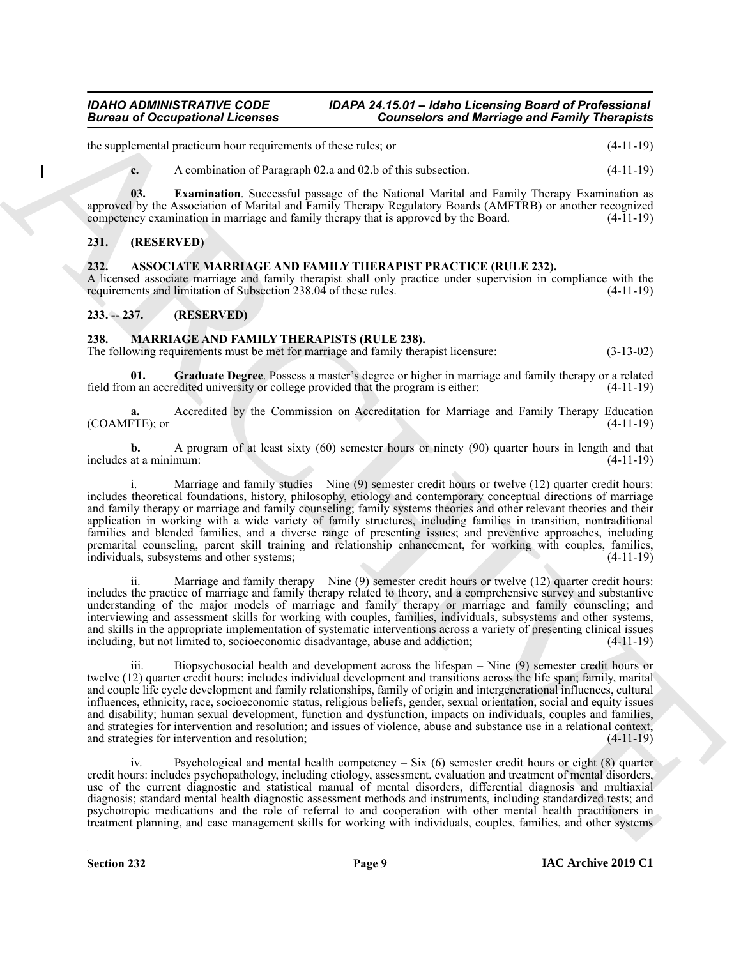the supplemental practicum hour requirements of these rules; or (4-11-19)

<span id="page-8-7"></span>**c.** A combination of Paragraph 02.a and 02.b of this subsection. (4-11-19)

**03. Examination**. Successful passage of the National Marital and Family Therapy Examination as approved by the Association of Marital and Family Therapy Regulatory Boards (AMFTRB) or another recognized competency examination in marriage and family therapy that is approved by the Board. (4-11-19) competency examination in marriage and family therapy that is approved by the Board.

# <span id="page-8-0"></span>**231. (RESERVED)**

# <span id="page-8-4"></span><span id="page-8-1"></span>**232. ASSOCIATE MARRIAGE AND FAMILY THERAPIST PRACTICE (RULE 232).**

A licensed associate marriage and family therapist shall only practice under supervision in compliance with the requirements and limitation of Subsection 238.04 of these rules. (4-11-19) requirements and limitation of Subsection 238.04 of these rules.

# <span id="page-8-2"></span>**233. -- 237. (RESERVED)**

# <span id="page-8-5"></span><span id="page-8-3"></span>**238. MARRIAGE AND FAMILY THERAPISTS (RULE 238).**

The following requirements must be met for marriage and family therapist licensure: (3-13-02)

<span id="page-8-6"></span>**01. Graduate Degree**. Possess a master's degree or higher in marriage and family therapy or a related field from an accredited university or college provided that the program is either: (4-11-19)

**a.** Accredited by the Commission on Accreditation for Marriage and Family Therapy Education  $(COAMFTE)$ ; or  $(4-11-19)$ 

**b.** A program of at least sixty (60) semester hours or ninety (90) quarter hours in length and that includes at a minimum: (4-11-19)

Bureau of Occupations I Licensins (Source-Les Courseless and Marriago and Family Theoretical<br>
According to the Archivest Coursel of the Coursel of the China (1988). And the China (1988) and the China (1988) and the China Marriage and family studies  $-$  Nine (9) semester credit hours or twelve (12) quarter credit hours: includes theoretical foundations, history, philosophy, etiology and contemporary conceptual directions of marriage and family therapy or marriage and family counseling; family systems theories and other relevant theories and their application in working with a wide variety of family structures, including families in transition, nontraditional families and blended families, and a diverse range of presenting issues; and preventive approaches, including premarital counseling, parent skill training and relationship enhancement, for working with couples, families, individuals, subsystems and other systems; individuals, subsystems and other systems;

ii. Marriage and family therapy – Nine  $(9)$  semester credit hours or twelve  $(12)$  quarter credit hours: includes the practice of marriage and family therapy related to theory, and a comprehensive survey and substantive understanding of the major models of marriage and family therapy or marriage and family counseling; and interviewing and assessment skills for working with couples, families, individuals, subsystems and other systems, and skills in the appropriate implementation of systematic interventions across a variety of presenting clinical issues including, but not limited to, socioeconomic disadvantage, abuse and addiction; (4-11-19)

iii. Biopsychosocial health and development across the lifespan – Nine (9) semester credit hours or twelve (12) quarter credit hours: includes individual development and transitions across the life span; family, marital and couple life cycle development and family relationships, family of origin and intergenerational influences, cultural influences, ethnicity, race, socioeconomic status, religious beliefs, gender, sexual orientation, social and equity issues and disability; human sexual development, function and dysfunction, impacts on individuals, couples and families, and strategies for intervention and resolution; and issues of violence, abuse and substance use in a relational context, and strategies for intervention and resolution; (4-11-19) and strategies for intervention and resolution;

Psychological and mental health competency – Six  $(6)$  semester credit hours or eight  $(8)$  quarter credit hours: includes psychopathology, including etiology, assessment, evaluation and treatment of mental disorders, use of the current diagnostic and statistical manual of mental disorders, differential diagnosis and multiaxial diagnosis; standard mental health diagnostic assessment methods and instruments, including standardized tests; and psychotropic medications and the role of referral to and cooperation with other mental health practitioners in treatment planning, and case management skills for working with individuals, couples, families, and other systems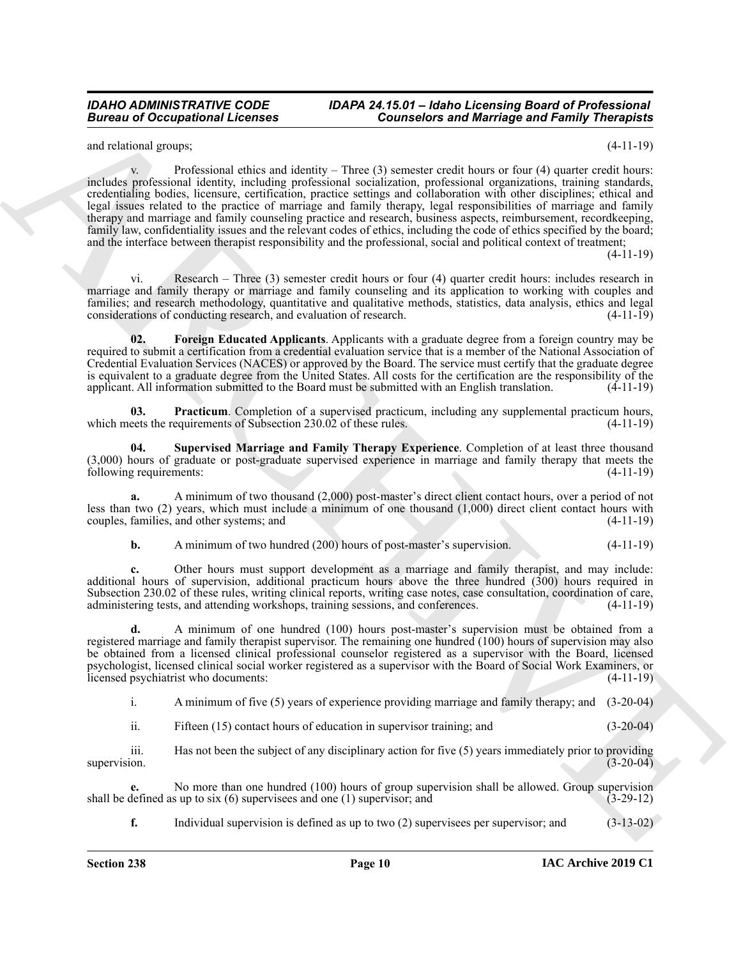and relational groups; (4-11-19)

**Extreme and Conceptions I. Forester Conception and Marriage and Family Theoretical<br>
and solvey the conception and the conception and the conception and the conception and the conception and the conception and the concept** v. Professional ethics and identity – Three  $(3)$  semester credit hours or four  $(4)$  quarter credit hours: includes professional identity, including professional socialization, professional organizations, training standards, credentialing bodies, licensure, certification, practice settings and collaboration with other disciplines; ethical and legal issues related to the practice of marriage and family therapy, legal responsibilities of marriage and family therapy and marriage and family counseling practice and research, business aspects, reimbursement, recordkeeping, family law, confidentiality issues and the relevant codes of ethics, including the code of ethics specified by the board; and the interface between therapist responsibility and the professional, social and political context of treatment;

(4-11-19)

vi. Research – Three (3) semester credit hours or four (4) quarter credit hours: includes research in marriage and family therapy or marriage and family counseling and its application to working with couples and families; and research methodology, quantitative and qualitative methods, statistics, data analysis, ethics and legal considerations of conducting research, and evaluation of research. (4-11-19)

<span id="page-9-0"></span>**02. Foreign Educated Applicants**. Applicants with a graduate degree from a foreign country may be required to submit a certification from a credential evaluation service that is a member of the National Association of Credential Evaluation Services (NACES) or approved by the Board. The service must certify that the graduate degree is equivalent to a graduate degree from the United States. All costs for the certification are the responsibility of the applicant. All information submitted to the Board must be submitted with an English translation. (4-11-19)

<span id="page-9-1"></span>**03. Practicum**. Completion of a supervised practicum, including any supplemental practicum hours, which meets the requirements of Subsection 230.02 of these rules. (4-11-19)

<span id="page-9-2"></span>**04. Supervised Marriage and Family Therapy Experience**. Completion of at least three thousand (3,000) hours of graduate or post-graduate supervised experience in marriage and family therapy that meets the following requirements: (4-11-19)

**a.** A minimum of two thousand (2,000) post-master's direct client contact hours, over a period of not less than two (2) years, which must include a minimum of one thousand (1,000) direct client contact hours with couples, families, and other systems; and (4-11-19)

# **b.** A minimum of two hundred (200) hours of post-master's supervision. (4-11-19)

**c.** Other hours must support development as a marriage and family therapist, and may include: additional hours of supervision, additional practicum hours above the three hundred (300) hours required in Subsection 230.02 of these rules, writing clinical reports, writing case notes, case consultation, coordination of care, administering tests, and attending workshops, training sessions, and conferences. (4-11-19)

**d.** A minimum of one hundred (100) hours post-master's supervision must be obtained from a registered marriage and family therapist supervisor. The remaining one hundred (100) hours of supervision may also be obtained from a licensed clinical professional counselor registered as a supervisor with the Board, licensed psychologist, licensed clinical social worker registered as a supervisor with the Board of Social Work Examiners, or licensed psychiatrist who documents: (4-11-19)

i. A minimum of five (5) years of experience providing marriage and family therapy; and (3-20-04)

ii. Fifteen (15) contact hours of education in supervisor training; and (3-20-04)

iii. Has not been the subject of any disciplinary action for five (5) years immediately prior to providing supervision. (3-20-04)

**e.** No more than one hundred (100) hours of group supervision shall be allowed. Group supervision defined as up to six (6) supervisees and one (1) supervisor; and (3-29-12) shall be defined as up to six  $(6)$  supervisees and one  $(1)$  supervisor; and

**f.** Individual supervision is defined as up to two (2) supervisees per supervisor; and (3-13-02)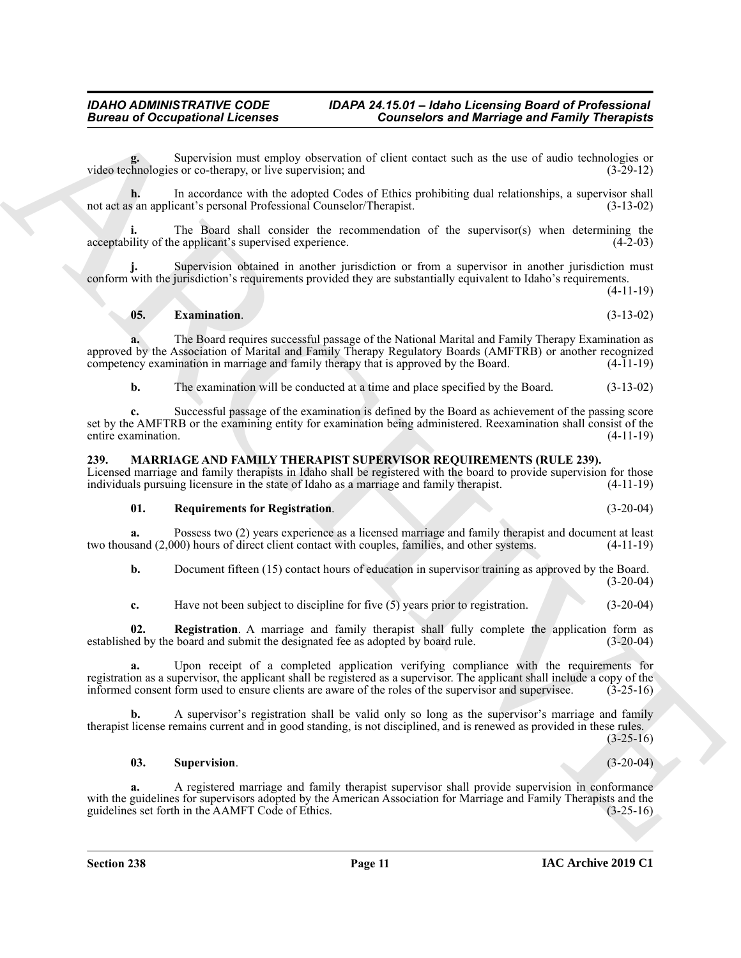**g.** Supervision must employ observation of client contact such as the use of audio technologies or video technologies or co-therapy, or live supervision; and (3-29-12)

**h.** In accordance with the adopted Codes of Ethics prohibiting dual relationships, a supervisor shall not act as an applicant's personal Professional Counselor/Therapist. (3-13-02)

**i.** The Board shall consider the recommendation of the supervisor(s) when determining the acceptability of the applicant's supervised experience. (4-2-03)

Supervision obtained in another jurisdiction or from a supervisor in another jurisdiction must conform with the jurisdiction's requirements provided they are substantially equivalent to Idaho's requirements.

(4-11-19)

# <span id="page-10-5"></span>**05. Examination**. (3-13-02)

**a.** The Board requires successful passage of the National Marital and Family Therapy Examination as approved by the Association of Marital and Family Therapy Regulatory Boards (AMFTRB) or another recognized competency examination in marriage and family therapy that is approved by the Board.  $(4-11-19)$ 

**b.** The examination will be conducted at a time and place specified by the Board. (3-13-02)

**Bureau of Occupations I. Februaries 2018**<br>
Signations and temperature of the intervention of the intervention of the state of the state of the state of the state of the state of the state of the state of the state of the **c.** Successful passage of the examination is defined by the Board as achievement of the passing score set by the AMFTRB or the examining entity for examination being administered. Reexamination shall consist of the entire examination. (4-11-19)

#### <span id="page-10-1"></span><span id="page-10-0"></span>**239. MARRIAGE AND FAMILY THERAPIST SUPERVISOR REQUIREMENTS (RULE 239).**

Licensed marriage and family therapists in Idaho shall be registered with the board to provide supervision for those individuals pursuing licensure in the state of Idaho as a marriage and family therapist. (4-11-19)

#### <span id="page-10-3"></span>**01. Requirements for Registration**. (3-20-04)

**a.** Possess two (2) years experience as a licensed marriage and family therapist and document at least two thousand (2,000) hours of direct client contact with couples, families, and other systems. (4-11-19)

**b.** Document fifteen (15) contact hours of education in supervisor training as approved by the Board.  $(3-20-04)$ 

<span id="page-10-2"></span>**c.** Have not been subject to discipline for five (5) years prior to registration. (3-20-04)

**02. Registration**. A marriage and family therapist shall fully complete the application form as established by the board and submit the designated fee as adopted by board rule. (3-20-04)

**a.** Upon receipt of a completed application verifying compliance with the requirements for registration as a supervisor, the applicant shall be registered as a supervisor. The applicant shall include a copy of the informed consent form used to ensure clients are aware of the roles of the supervisor and supervise informed consent form used to ensure clients are aware of the roles of the supervisor and supervisee.

**b.** A supervisor's registration shall be valid only so long as the supervisor's marriage and family therapist license remains current and in good standing, is not disciplined, and is renewed as provided in these rules.

 $(3-25-16)$ 

#### <span id="page-10-4"></span>**03. Supervision**. (3-20-04)

**a.** A registered marriage and family therapist supervisor shall provide supervision in conformance with the guidelines for supervisors adopted by the American Association for Marriage and Family Therapists and the guidelines set forth in the AAMFT Code of Ethics. (3-25-16) guidelines set forth in the AAMFT Code of Ethics.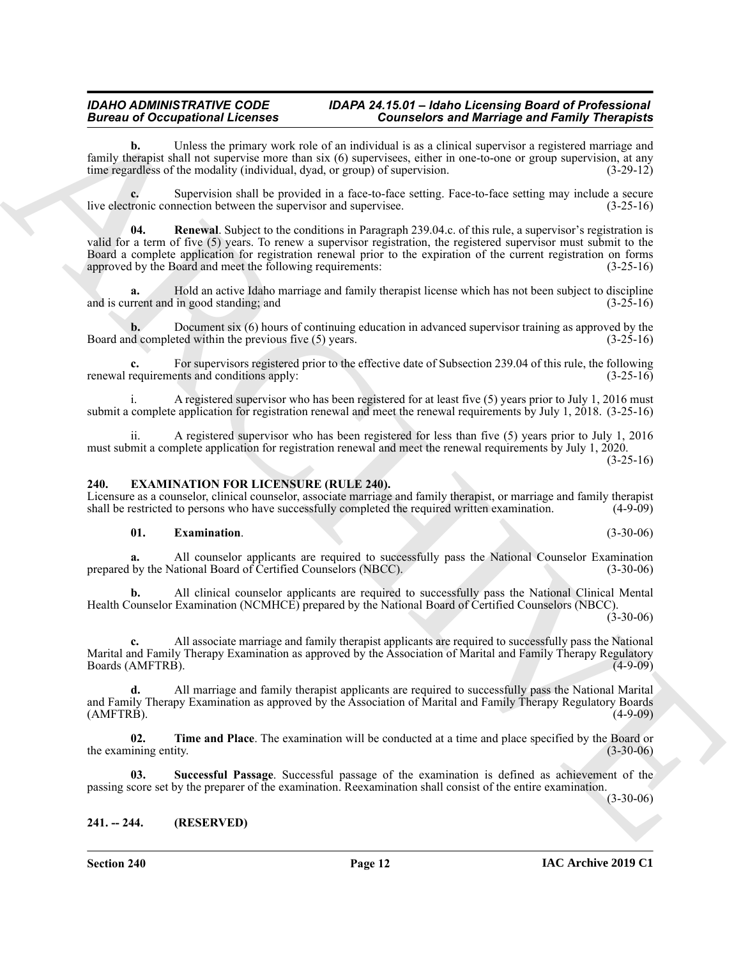**b.** Unless the primary work role of an individual is as a clinical supervisor a registered marriage and family therapist shall not supervise more than six (6) supervisees, either in one-to-one or group supervision, at any time regardless of the modality (individual, dyad, or group) of supervision. (3-29-12)

<span id="page-11-6"></span>**c.** Supervision shall be provided in a face-to-face setting. Face-to-face setting may include a secure live electronic connection between the supervisor and supervisee. (3-25-16)

Biometric Conception of the control of the control of the control of the control of the control of the control of the control of the control of the control of the control of the control of the control of the control of th **04. Renewal**. Subject to the conditions in Paragraph 239.04.c. of this rule, a supervisor's registration is valid for a term of five (5) years. To renew a supervisor registration, the registered supervisor must submit to the Board a complete application for registration renewal prior to the expiration of the current registration on forms approved by the Board and meet the following requirements: (3-25-16) approved by the Board and meet the following requirements:

**a.** Hold an active Idaho marriage and family therapist license which has not been subject to discipline and is current and in good standing; and  $(3-25-16)$ 

**b.** Document six (6) hours of continuing education in advanced supervisor training as approved by the d completed within the previous five (5) years. (3-25-16) Board and completed within the previous five  $(5)$  years.

**c.** For supervisors registered prior to the effective date of Subsection 239.04 of this rule, the following renewal requirements and conditions apply: (3-25-16)

i. A registered supervisor who has been registered for at least five (5) years prior to July 1, 2016 must submit a complete application for registration renewal and meet the renewal requirements by July 1, 2018. (3-25-16)

ii. A registered supervisor who has been registered for less than five (5) years prior to July 1, 2016 must submit a complete application for registration renewal and meet the renewal requirements by July 1, 2020.  $(3-25-16)$ 

#### <span id="page-11-2"></span><span id="page-11-0"></span>**240. EXAMINATION FOR LICENSURE (RULE 240).**

Licensure as a counselor, clinical counselor, associate marriage and family therapist, or marriage and family therapist shall be restricted to persons who have successfully completed the required written examination. (4-9shall be restricted to persons who have successfully completed the required written examination.

#### <span id="page-11-3"></span>**01. Examination**. (3-30-06)

**a.** All counselor applicants are required to successfully pass the National Counselor Examination prepared by the National Board of Certified Counselors (NBCC). (3-30-06)

**b.** All clinical counselor applicants are required to successfully pass the National Clinical Mental Health Counselor Examination (NCMHCE) prepared by the National Board of Certified Counselors (NBCC).  $(3-30-06)$ 

**c.** All associate marriage and family therapist applicants are required to successfully pass the National Marital and Family Therapy Examination as approved by the Association of Marital and Family Therapy Regulatory Boards (AMFTRB).

**d.** All marriage and family therapist applicants are required to successfully pass the National Marital and Family Therapy Examination as approved by the Association of Marital and Family Therapy Regulatory Boards (AMFTRB). (4-9-09)

<span id="page-11-5"></span>**02. Time and Place**. The examination will be conducted at a time and place specified by the Board or the examining entity. (3-30-06)

<span id="page-11-4"></span>**03. Successful Passage**. Successful passage of the examination is defined as achievement of the passing score set by the preparer of the examination. Reexamination shall consist of the entire examination.

 $(3-30-06)$ 

# <span id="page-11-1"></span>**241. -- 244. (RESERVED)**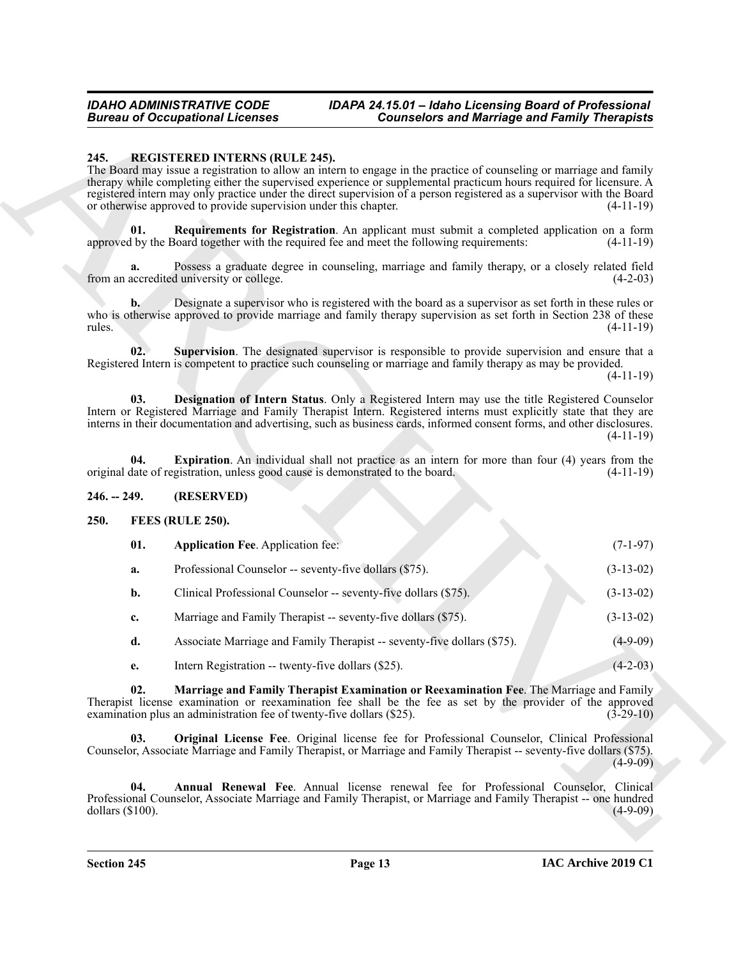#### *IDAHO ADMINISTRATIVE CODE IDAPA 24.15.01 – Idaho Licensing Board of Professional Bureau of Occupational Licenses Counselors and Marriage and Family Therapists*

### <span id="page-12-11"></span><span id="page-12-8"></span><span id="page-12-0"></span>**245. REGISTERED INTERNS (RULE 245).**

#### <span id="page-12-12"></span><span id="page-12-10"></span><span id="page-12-9"></span><span id="page-12-1"></span>**246. -- 249. (RESERVED)**

# <span id="page-12-7"></span><span id="page-12-6"></span><span id="page-12-5"></span><span id="page-12-4"></span><span id="page-12-3"></span><span id="page-12-2"></span>**250. FEES (RULE 250).**

|                                                                                                                      | <b>Bureau of Occupational Licenses</b>                                                                    | <b>Counselors and Marriage and Family Therapists</b>                                                                                                                                                                                                                                                                                                                  |             |  |  |
|----------------------------------------------------------------------------------------------------------------------|-----------------------------------------------------------------------------------------------------------|-----------------------------------------------------------------------------------------------------------------------------------------------------------------------------------------------------------------------------------------------------------------------------------------------------------------------------------------------------------------------|-------------|--|--|
| 245.                                                                                                                 | <b>REGISTERED INTERNS (RULE 245).</b><br>or otherwise approved to provide supervision under this chapter. | The Board may issue a registration to allow an intern to engage in the practice of counseling or marriage and family<br>therapy while completing either the supervised experience or supplemental practicum hours required for licensure. A<br>registered intern may only practice under the direct supervision of a person registered as a supervisor with the Board | $(4-11-19)$ |  |  |
| 01.                                                                                                                  |                                                                                                           | Requirements for Registration. An applicant must submit a completed application on a form<br>approved by the Board together with the required fee and meet the following requirements:                                                                                                                                                                                | $(4-11-19)$ |  |  |
| a.                                                                                                                   | from an accredited university or college.                                                                 | Possess a graduate degree in counseling, marriage and family therapy, or a closely related field                                                                                                                                                                                                                                                                      | $(4-2-03)$  |  |  |
| $\mathbf{b}$ .<br>rules.                                                                                             |                                                                                                           | Designate a supervisor who is registered with the board as a supervisor as set forth in these rules or<br>who is otherwise approved to provide marriage and family therapy supervision as set forth in Section 238 of these                                                                                                                                           | $(4-11-19)$ |  |  |
| 02.                                                                                                                  |                                                                                                           | Supervision. The designated supervisor is responsible to provide supervision and ensure that a<br>Registered Intern is competent to practice such counseling or marriage and family therapy as may be provided.                                                                                                                                                       | $(4-11-19)$ |  |  |
| 03.                                                                                                                  |                                                                                                           | Designation of Intern Status. Only a Registered Intern may use the title Registered Counselor<br>Intern or Registered Marriage and Family Therapist Intern. Registered interns must explicitly state that they are<br>interns in their documentation and advertising, such as business cards, informed consent forms, and other disclosures.                          | $(4-11-19)$ |  |  |
| 04.<br>original date of registration, unless good cause is demonstrated to the board.<br>$246. - 249.$<br>(RESERVED) |                                                                                                           | <b>Expiration.</b> An individual shall not practice as an intern for more than four (4) years from the                                                                                                                                                                                                                                                                | $(4-11-19)$ |  |  |
|                                                                                                                      |                                                                                                           |                                                                                                                                                                                                                                                                                                                                                                       |             |  |  |
| 250.<br>FEES (RULE 250).                                                                                             |                                                                                                           |                                                                                                                                                                                                                                                                                                                                                                       |             |  |  |
| 01.                                                                                                                  | <b>Application Fee. Application fee:</b>                                                                  |                                                                                                                                                                                                                                                                                                                                                                       | $(7-1-97)$  |  |  |
| a.                                                                                                                   | Professional Counselor -- seventy-five dollars (\$75).                                                    |                                                                                                                                                                                                                                                                                                                                                                       | $(3-13-02)$ |  |  |
| b.                                                                                                                   | Clinical Professional Counselor -- seventy-five dollars (\$75).                                           |                                                                                                                                                                                                                                                                                                                                                                       | $(3-13-02)$ |  |  |
| c.                                                                                                                   | Marriage and Family Therapist -- seventy-five dollars (\$75).                                             |                                                                                                                                                                                                                                                                                                                                                                       | $(3-13-02)$ |  |  |
| d.                                                                                                                   |                                                                                                           | Associate Marriage and Family Therapist -- seventy-five dollars (\$75).                                                                                                                                                                                                                                                                                               | $(4-9-09)$  |  |  |
| e.                                                                                                                   | Intern Registration -- twenty-five dollars (\$25).                                                        |                                                                                                                                                                                                                                                                                                                                                                       | $(4-2-03)$  |  |  |
| 02.                                                                                                                  | examination plus an administration fee of twenty-five dollars (\$25).                                     | Marriage and Family Therapist Examination or Reexamination Fee. The Marriage and Family<br>Therapist license examination or reexamination fee shall be the fee as set by the provider of the approved                                                                                                                                                                 | $(3-29-10)$ |  |  |
| 03.                                                                                                                  |                                                                                                           | Original License Fee. Original license fee for Professional Counselor, Clinical Professional<br>Counselor, Associate Marriage and Family Therapist, or Marriage and Family Therapist -- seventy-five dollars (\$75).                                                                                                                                                  | $(4-9-09)$  |  |  |
| 04.<br>dollars $(\$100)$ .                                                                                           |                                                                                                           | Annual Renewal Fee. Annual license renewal fee for Professional Counselor, Clinical<br>Professional Counselor, Associate Marriage and Family Therapist, or Marriage and Family Therapist -- one hundred                                                                                                                                                               | $(4-9-09)$  |  |  |
|                                                                                                                      |                                                                                                           |                                                                                                                                                                                                                                                                                                                                                                       |             |  |  |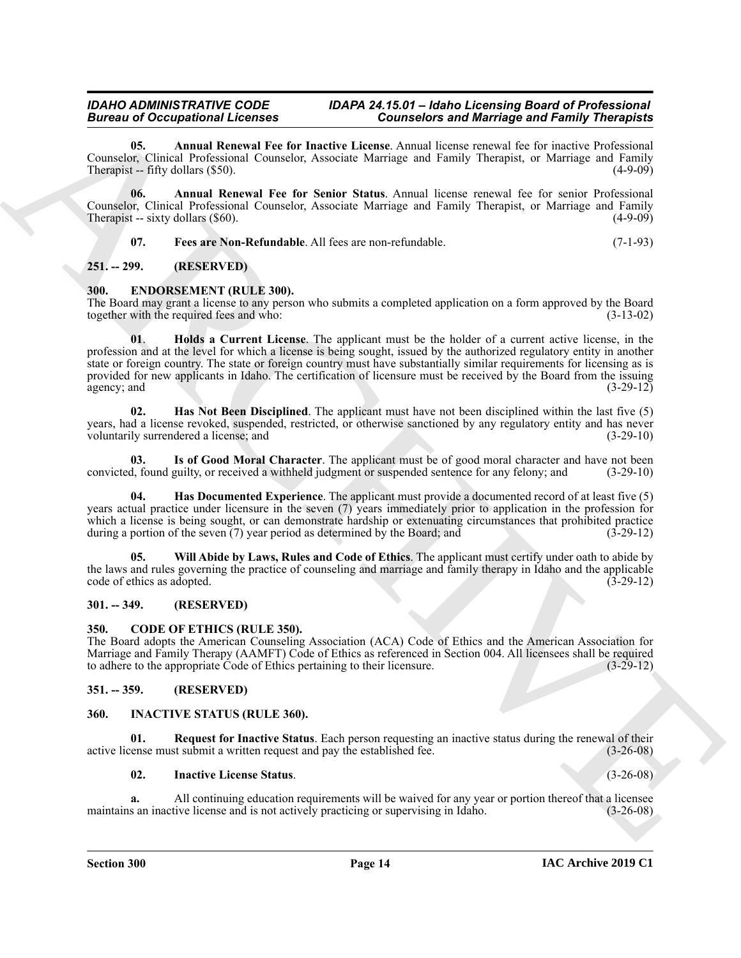<span id="page-13-13"></span>**05. Annual Renewal Fee for Inactive License**. Annual license renewal fee for inactive Professional Counselor, Clinical Professional Counselor, Associate Marriage and Family Therapist, or Marriage and Family Therapist -- fifty dollars (\$50). (4-9-09)

**06. Annual Renewal Fee for Senior Status**. Annual license renewal fee for senior Professional Counselor, Clinical Professional Counselor, Associate Marriage and Family Therapist, or Marriage and Family Therapist -- sixty dollars  $(\$60)$ .

<span id="page-13-15"></span><span id="page-13-14"></span><span id="page-13-7"></span>**07. Fees are Non-Refundable**. All fees are non-refundable. (7-1-93)

# <span id="page-13-0"></span>**251. -- 299. (RESERVED)**

#### <span id="page-13-1"></span>**300. ENDORSEMENT (RULE 300).**

<span id="page-13-10"></span>The Board may grant a license to any person who submits a completed application on a form approved by the Board together with the required fees and who: (3-13-02)

Borrow of Comparisonnia Licensel Res In the state of Marchives and Marchives and Earlier (and Figure 2011)<br>
Counter Capital Comparisonnia (Section 2012)<br>
The state of Marchives and The Boston 2012 (and Figure 2012)<br>
The s **01**. **Holds a Current License**. The applicant must be the holder of a current active license, in the profession and at the level for which a license is being sought, issued by the authorized regulatory entity in another state or foreign country. The state or foreign country must have substantially similar requirements for licensing as is provided for new applicants in Idaho. The certification of licensure must be received by the Board from the issuing agency; and  $(3-29-12)$ 

<span id="page-13-9"></span>**02. Has Not Been Disciplined**. The applicant must have not been disciplined within the last five (5) years, had a license revoked, suspended, restricted, or otherwise sanctioned by any regulatory entity and has never voluntarily surrendered a license; and (3-29-10)

<span id="page-13-11"></span>**03.** Is of Good Moral Character. The applicant must be of good moral character and have not been d, found guilty, or received a withheld judgment or suspended sentence for any felony; and (3-29-10) convicted, found guilty, or received a withheld judgment or suspended sentence for any felony; and

<span id="page-13-8"></span>**04. Has Documented Experience**. The applicant must provide a documented record of at least five (5) years actual practice under licensure in the seven (7) years immediately prior to application in the profession for which a license is being sought, or can demonstrate hardship or extenuating circumstances that prohibited practice during a portion of the seven (7) year period as determined by the Board; and (3-29-12)

<span id="page-13-12"></span>**05. Will Abide by Laws, Rules and Code of Ethics**. The applicant must certify under oath to abide by the laws and rules governing the practice of counseling and marriage and family therapy in Idaho and the applicable code of ethics as adopted. (3-29-12)

# <span id="page-13-2"></span>**301. -- 349. (RESERVED)**

# <span id="page-13-6"></span><span id="page-13-3"></span>**350. CODE OF ETHICS (RULE 350).**

The Board adopts the American Counseling Association (ACA) Code of Ethics and the American Association for Marriage and Family Therapy (AAMFT) Code of Ethics as referenced in Section 004. All licensees shall be required to adhere to the appropriate Code of Ethics pertaining to their licensure. (3-29-12) to adhere to the appropriate Code of Ethics pertaining to their licensure.

# <span id="page-13-4"></span>**351. -- 359. (RESERVED)**

# <span id="page-13-16"></span><span id="page-13-5"></span>**360. INACTIVE STATUS (RULE 360).**

**01. Request for Inactive Status**. Each person requesting an inactive status during the renewal of their active license must submit a written request and pay the established fee. (3-26-08)

### <span id="page-13-18"></span><span id="page-13-17"></span>**02. Inactive License Status**. (3-26-08)

**a.** All continuing education requirements will be waived for any year or portion thereof that a licensee s an inactive license and is not actively practicing or supervising in Idaho.  $(3-26-08)$ maintains an inactive license and is not actively practicing or supervising in Idaho.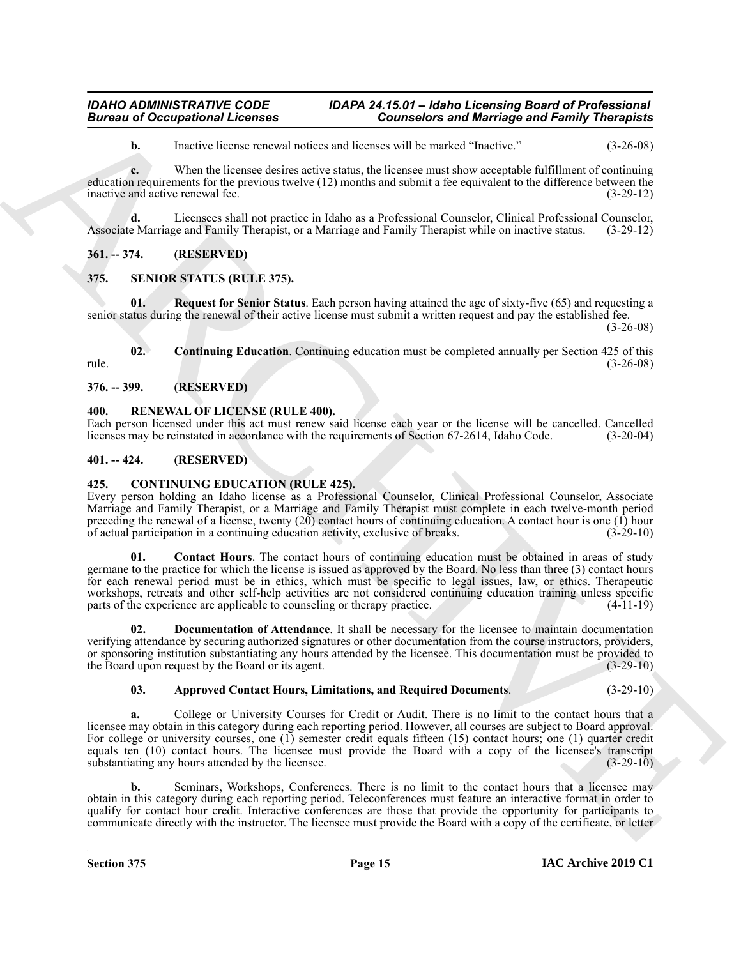**b.** Inactive license renewal notices and licenses will be marked "Inactive." (3-26-08)

**c.** When the licensee desires active status, the licensee must show acceptable fulfillment of continuing education requirements for the previous twelve (12) months and submit a fee equivalent to the difference between the inactive and active renewal fee. (3-29-12)

**d.** Licensees shall not practice in Idaho as a Professional Counselor, Clinical Professional Counselor, Associate Marriage and Family Therapist, or a Marriage and Family Therapist while on inactive status. (3-29-12)

<span id="page-14-0"></span>**361. -- 374. (RESERVED)**

# <span id="page-14-11"></span><span id="page-14-1"></span>**375. SENIOR STATUS (RULE 375).**

<span id="page-14-13"></span>**Request for Senior Status**. Each person having attained the age of sixty-five (65) and requesting a senior status during the renewal of their active license must submit a written request and pay the established fee.

(3-26-08)

<span id="page-14-12"></span>**02. Continuing Education**. Continuing education must be completed annually per Section 425 of this rule. (3-26-08)

<span id="page-14-2"></span>**376. -- 399. (RESERVED)**

# <span id="page-14-10"></span><span id="page-14-3"></span>**400. RENEWAL OF LICENSE (RULE 400).**

Each person licensed under this act must renew said license each year or the license will be cancelled. Cancelled licenses may be reinstated in accordance with the requirements of Section 67-2614, Idaho Code. (3-20-04)

# <span id="page-14-4"></span>**401. -- 424. (RESERVED)**

# <span id="page-14-6"></span><span id="page-14-5"></span>**425. CONTINUING EDUCATION (RULE 425).**

<span id="page-14-8"></span>Every person holding an Idaho license as a Professional Counselor, Clinical Professional Counselor, Associate Marriage and Family Therapist, or a Marriage and Family Therapist must complete in each twelve-month period preceding the renewal of a license, twenty  $(20)$  contact hours of continuing education. A contact hour is one  $(1)$  hour of actual participation in a continuing education activity, exclusive of breaks. (3-29-10)

**Example 20** Consistended Licensins **Consistents and Marriage and Reinford Consistents and Reinford Construction**<br> **ARCHIVE CONSIST CONSIST CONSIST CONSIST CONSIST CONSIST CONSIST CONSIST CONSIST CONSIST CONSIST CONSIST C 01. Contact Hours**. The contact hours of continuing education must be obtained in areas of study germane to the practice for which the license is issued as approved by the Board. No less than three (3) contact hours for each renewal period must be in ethics, which must be specific to legal issues, law, or ethics. Therapeutic workshops, retreats and other self-help activities are not considered continuing education training unless specific parts of the experience are applicable to counseling or therapy practice. (4-11-19)

<span id="page-14-9"></span>**02. Documentation of Attendance**. It shall be necessary for the licensee to maintain documentation verifying attendance by securing authorized signatures or other documentation from the course instructors, providers, or sponsoring institution substantiating any hours attended by the licensee. This documentation must be provided to the Board upon request by the Board or its agent. (3-29-10) the Board upon request by the Board or its agent.

# <span id="page-14-7"></span>**03. Approved Contact Hours, Limitations, and Required Documents**. (3-29-10)

**a.** College or University Courses for Credit or Audit. There is no limit to the contact hours that a licensee may obtain in this category during each reporting period. However, all courses are subject to Board approval. For college or university courses, one (1) semester credit equals fifteen (15) contact hours; one (1) quarter credit equals ten (10) contact hours. The licensee must provide the Board with a copy of the licensee's transcript substantiating any hours attended by the licensee. (3-29-10)

**b.** Seminars, Workshops, Conferences. There is no limit to the contact hours that a licensee may obtain in this category during each reporting period. Teleconferences must feature an interactive format in order to qualify for contact hour credit. Interactive conferences are those that provide the opportunity for participants to communicate directly with the instructor. The licensee must provide the Board with a copy of the certificate, or letter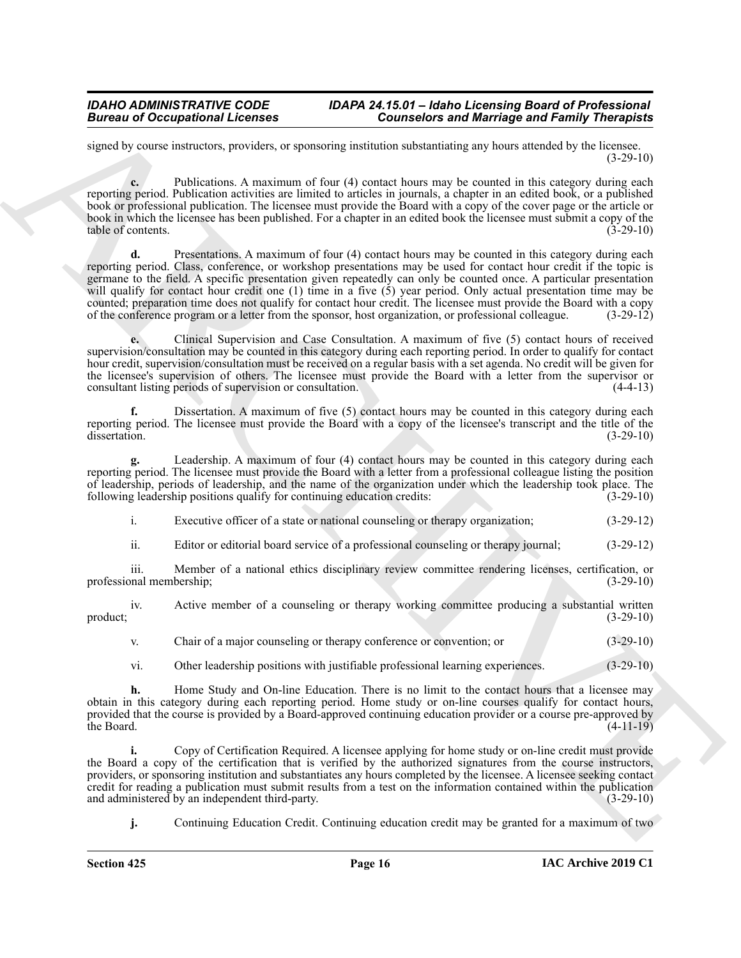signed by course instructors, providers, or sponsoring institution substantiating any hours attended by the licensee. (3-29-10)

**c.** Publications. A maximum of four (4) contact hours may be counted in this category during each reporting period. Publication activities are limited to articles in journals, a chapter in an edited book, or a published book or professional publication. The licensee must provide the Board with a copy of the cover page or the article or book in which the licensee has been published. For a chapter in an edited book the licensee must submit a copy of the table of contents. (3-29-10)

Bureau of Occupations I. Counter the Counter of Marriage and Reinfords and Formula and the state of the control of the state of the state of the state of the state of the state of the state of the state of the state of th Presentations. A maximum of four (4) contact hours may be counted in this category during each reporting period. Class, conference, or workshop presentations may be used for contact hour credit if the topic is germane to the field. A specific presentation given repeatedly can only be counted once. A particular presentation will qualify for contact hour credit one (1) time in a five (5) year period. Only actual presentation time may be counted; preparation time does not qualify for contact hour credit. The licensee must provide the Board with a copy of the conference program or a letter from the sponsor, host organization, or professional colleague. (3-29-12)

**e.** Clinical Supervision and Case Consultation. A maximum of five (5) contact hours of received supervision/consultation may be counted in this category during each reporting period. In order to qualify for contact hour credit, supervision/consultation must be received on a regular basis with a set agenda. No credit will be given for the licensee's supervision of others. The licensee must provide the Board with a letter from the supervisor or consultant listing periods of supervision or consultation. (4-4-13)

Dissertation. A maximum of five (5) contact hours may be counted in this category during each reporting period. The licensee must provide the Board with a copy of the licensee's transcript and the title of the dissertation. (3-29-10) dissertation. (3-29-10)

**g.** Leadership. A maximum of four (4) contact hours may be counted in this category during each reporting period. The licensee must provide the Board with a letter from a professional colleague listing the position of leadership, periods of leadership, and the name of the organization under which the leadership took place. The following leadership positions qualify for continuing education credits: (3-29-10)

i. Executive officer of a state or national counseling or therapy organization; (3-29-12)

ii. Editor or editorial board service of a professional counseling or therapy journal; (3-29-12)

iii. Member of a national ethics disciplinary review committee rendering licenses, certification, or nal membership; (3-29-10) professional membership;

iv. Active member of a counseling or therapy working committee producing a substantial written product;  $(3-29-10)$ 

v. Chair of a major counseling or therapy conference or convention; or (3-29-10)

vi. Other leadership positions with justifiable professional learning experiences. (3-29-10)

**h.** Home Study and On-line Education. There is no limit to the contact hours that a licensee may obtain in this category during each reporting period. Home study or on-line courses qualify for contact hours, provided that the course is provided by a Board-approved continuing education provider or a course pre-approved by the Board. (4-11-19) the Board.  $(4-11-19)$ 

**i.** Copy of Certification Required. A licensee applying for home study or on-line credit must provide the Board a copy of the certification that is verified by the authorized signatures from the course instructors, providers, or sponsoring institution and substantiates any hours completed by the licensee. A licensee seeking contact credit for reading a publication must submit results from a test on the information contained within the publication and administered by an independent third-party.

**j.** Continuing Education Credit. Continuing education credit may be granted for a maximum of two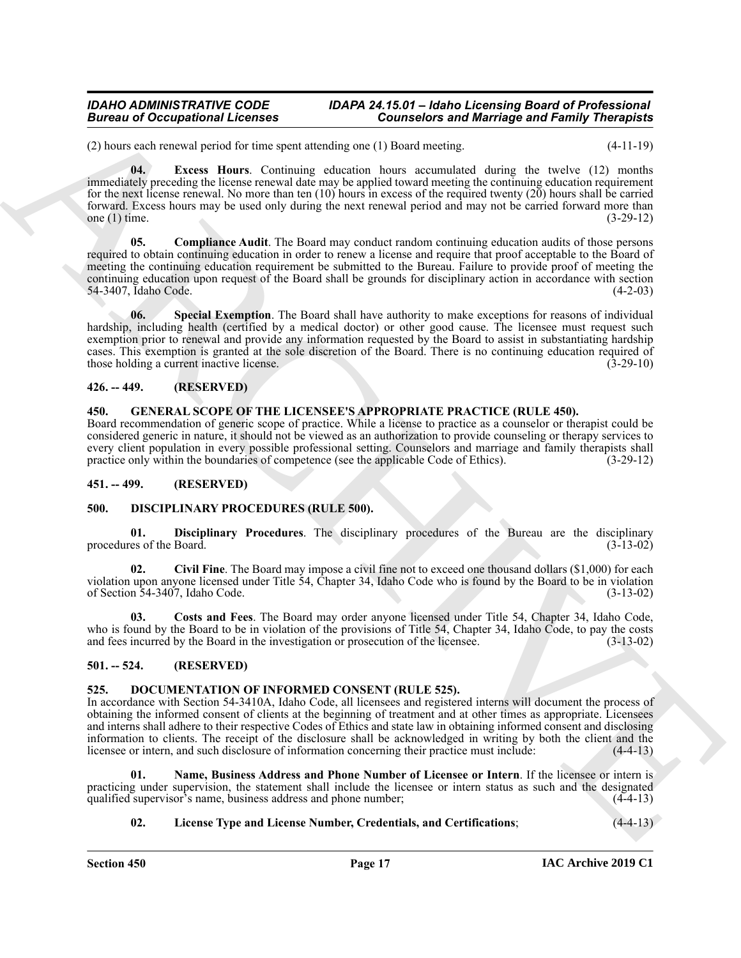<span id="page-16-7"></span>(2) hours each renewal period for time spent attending one (1) Board meeting. (4-11-19)

**Example the control of the set of the set of the set of the set of the set of the set of the set of the set of the set of the set of the set of the set of the set of the set of the set of the set of the set of the set of 04. Excess Hours**. Continuing education hours accumulated during the twelve (12) months immediately preceding the license renewal date may be applied toward meeting the continuing education requirement for the next license renewal. No more than ten  $(10)$  hours in excess of the required twenty  $(20)$  hours shall be carried forward. Excess hours may be used only during the next renewal period and may not be carried forward more than one  $(1)$  time.

<span id="page-16-6"></span>**05. Compliance Audit**. The Board may conduct random continuing education audits of those persons required to obtain continuing education in order to renew a license and require that proof acceptable to the Board of meeting the continuing education requirement be submitted to the Bureau. Failure to provide proof of meeting the continuing education upon request of the Board shall be grounds for disciplinary action in accordance with section 54-3407. Idaho Code. (4-2-03) 54-3407, Idaho Code.

<span id="page-16-8"></span>**06. Special Exemption**. The Board shall have authority to make exceptions for reasons of individual hardship, including health (certified by a medical doctor) or other good cause. The licensee must request such exemption prior to renewal and provide any information requested by the Board to assist in substantiating hardship cases. This exemption is granted at the sole discretion of the Board. There is no continuing education required of those holding a current inactive license. (3-29-10)

# <span id="page-16-0"></span>**426. -- 449. (RESERVED)**

# <span id="page-16-17"></span><span id="page-16-16"></span><span id="page-16-1"></span>**450. GENERAL SCOPE OF THE LICENSEE'S APPROPRIATE PRACTICE (RULE 450).**

Board recommendation of generic scope of practice. While a license to practice as a counselor or therapist could be considered generic in nature, it should not be viewed as an authorization to provide counseling or therapy services to every client population in every possible professional setting. Counselors and marriage and family therapists shall practice only within the boundaries of competence (see the applicable Code of Ethics). (3-29-12)

### <span id="page-16-2"></span>**451. -- 499. (RESERVED)**

# <span id="page-16-9"></span><span id="page-16-3"></span>**500. DISCIPLINARY PROCEDURES (RULE 500).**

<span id="page-16-12"></span>**01. Disciplinary Procedures**. The disciplinary procedures of the Bureau are the disciplinary procedures of the Board. (3-13-02)

<span id="page-16-10"></span>**02. Civil Fine**. The Board may impose a civil fine not to exceed one thousand dollars (\$1,000) for each violation upon anyone licensed under Title 54, Chapter 34, Idaho Code who is found by the Board to be in violation of Section 54-3407, Idaho Code. (3-13-02)

<span id="page-16-11"></span>**03. Costs and Fees**. The Board may order anyone licensed under Title 54, Chapter 34, Idaho Code, who is found by the Board to be in violation of the provisions of Title 54, Chapter 34, Idaho Code, to pay the costs and fees incurred by the Board in the investigation or prosecution of the licensee. (3-13-02)

# <span id="page-16-4"></span>**501. -- 524. (RESERVED)**

# <span id="page-16-13"></span><span id="page-16-5"></span>**525. DOCUMENTATION OF INFORMED CONSENT (RULE 525).**

In accordance with Section 54-3410A, Idaho Code, all licensees and registered interns will document the process of obtaining the informed consent of clients at the beginning of treatment and at other times as appropriate. Licensees and interns shall adhere to their respective Codes of Ethics and state law in obtaining informed consent and disclosing information to clients. The receipt of the disclosure shall be acknowledged in writing by both the client and the licensee or intern, and such disclosure of information concerning their practice must include: (4-4-13)

**01. Name, Business Address and Phone Number of Licensee or Intern**. If the licensee or intern is practicing under supervision, the statement shall include the licensee or intern status as such and the designated qualified supervisor's name, business address and phone number; (4-4-13) qualified supervisor's name, business address and phone number;

# <span id="page-16-15"></span><span id="page-16-14"></span>**02. License Type and License Number, Credentials, and Certifications**; (4-4-13)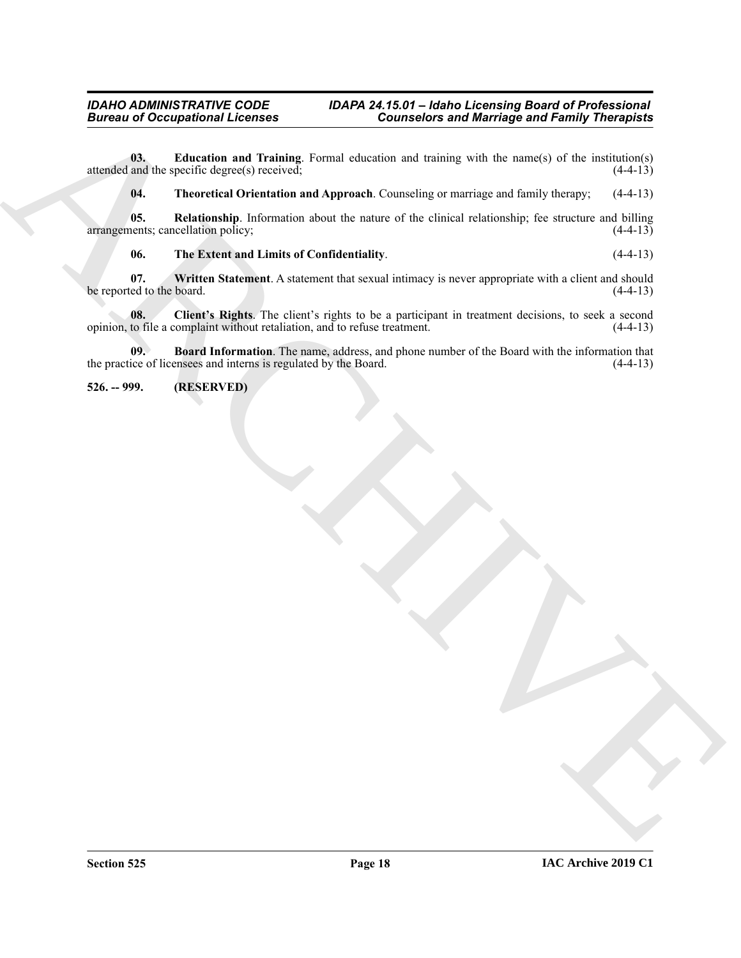Given the Occupational Licensins<br>  $\frac{1000}{2}$  Licensins and Taximian Structure Connection and training with the multiplication ( $\frac{1000}{2}$  Licensins)<br>  $\frac{1000}{2}$  Licensins and Archives and Archives and the state of t **03. Education and Training**. Formal education and training with the name(s) of the institution(s) attended and the specific degree(s) received; (4-4-13)

<span id="page-17-6"></span><span id="page-17-4"></span><span id="page-17-3"></span>**04. Theoretical Orientation and Approach**. Counseling or marriage and family therapy; (4-4-13)

**05. Relationship**. Information about the nature of the clinical relationship; fee structure and billing nents; cancellation policy; (4-4-13) arrangements; cancellation policy;

<span id="page-17-7"></span><span id="page-17-5"></span><span id="page-17-2"></span>**06. The Extent and Limits of Confidentiality**. (4-4-13)

**07.** Written Statement. A statement that sexual intimacy is never appropriate with a client and should ted to the board. (4-4-13) be reported to the board.

**08.** Client's Rights. The client's rights to be a participant in treatment decisions, to seek a second to file a complaint without retaliation, and to refuse treatment. (4-4-13) opinion, to file a complaint without retaliation, and to refuse treatment.

<span id="page-17-1"></span>**09. Board Information**. The name, address, and phone number of the Board with the information that the practice of licensees and interns is regulated by the Board. (4-4-13)

<span id="page-17-0"></span>**526. -- 999. (RESERVED)**